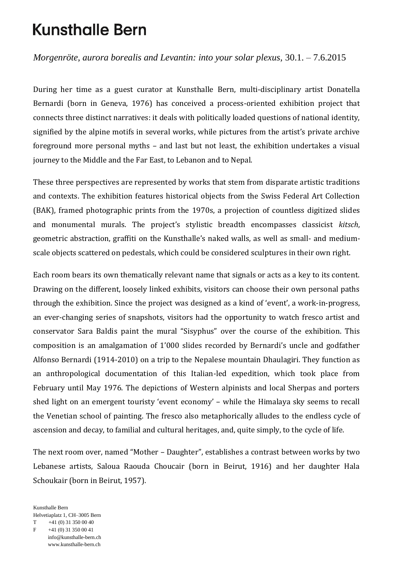## **Kunsthalle Bern**

*Morgenröte, aurora borealis and Levantin: into your solar plexus,* 30.1. – 7.6.2015

During her time as a guest curator at Kunsthalle Bern, multi-disciplinary artist Donatella Bernardi (born in Geneva, 1976) has conceived a process-oriented exhibition project that connects three distinct narratives: it deals with politically loaded questions of national identity, signified by the alpine motifs in several works, while pictures from the artist's private archive foreground more personal myths – and last but not least, the exhibition undertakes a visual journey to the Middle and the Far East, to Lebanon and to Nepal.

These three perspectives are represented by works that stem from disparate artistic traditions and contexts. The exhibition features historical objects from the Swiss Federal Art Collection (BAK), framed photographic prints from the 1970s, a projection of countless digitized slides and monumental murals. The project's stylistic breadth encompasses classicist *kitsch*, geometric abstraction, graffiti on the Kunsthalle's naked walls, as well as small- and mediumscale objects scattered on pedestals, which could be considered sculptures in their own right.

Each room bears its own thematically relevant name that signals or acts as a key to its content. Drawing on the different, loosely linked exhibits, visitors can choose their own personal paths through the exhibition. Since the project was designed as a kind of 'event', a work-in-progress, an ever-changing series of snapshots, visitors had the opportunity to watch fresco artist and conservator Sara Baldis paint the mural "Sisyphus" over the course of the exhibition. This composition is an amalgamation of 1'000 slides recorded by Bernardi's uncle and godfather Alfonso Bernardi (1914-2010) on a trip to the Nepalese mountain Dhaulagiri. They function as an anthropological documentation of this Italian-led expedition, which took place from February until May 1976. The depictions of Western alpinists and local Sherpas and porters shed light on an emergent touristy 'event economy' – while the Himalaya sky seems to recall the Venetian school of painting. The fresco also metaphorically alludes to the endless cycle of ascension and decay, to familial and cultural heritages, and, quite simply, to the cycle of life.

The next room over, named "Mother – Daughter", establishes a contrast between works by two Lebanese artists, Saloua Raouda Choucair (born in Beirut, 1916) and her daughter Hala Schoukair (born in Beirut, 1957).

Kunsthalle Bern Helvetiaplatz 1, CH–3005 Bern  $T$  +41 (0) 31 350 00 40  $F +41 (0) 31 350 00 41$  info@kunsthalle-bern.ch www.kunsthalle-bern.ch